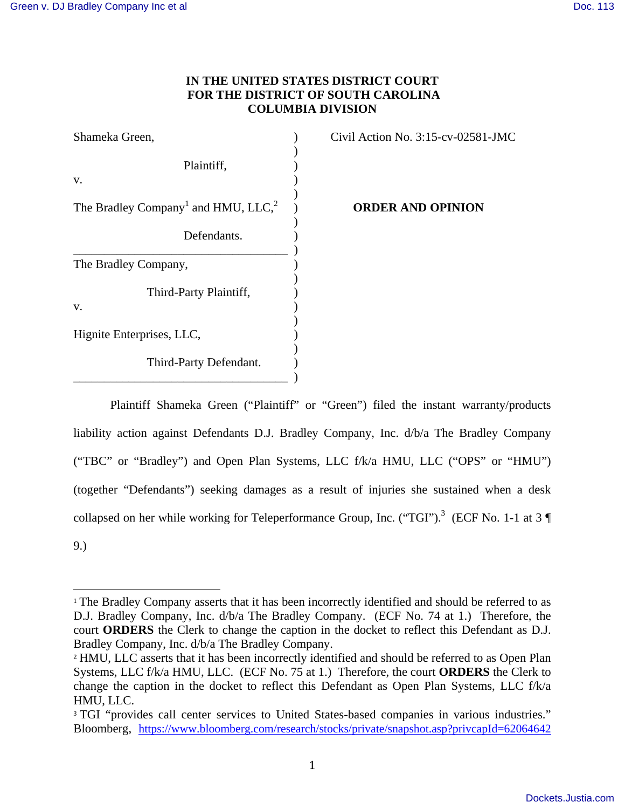# **IN THE UNITED STATES DISTRICT COURT FOR THE DISTRICT OF SOUTH CAROLINA COLUMBIA DIVISION**

| Shameka Green,                                              |  |
|-------------------------------------------------------------|--|
| Plaintiff,<br>v.                                            |  |
| The Bradley Company <sup>1</sup> and HMU, LLC, <sup>2</sup> |  |
| Defendants.                                                 |  |
| The Bradley Company,                                        |  |
| Third-Party Plaintiff,<br>V.                                |  |
| Hignite Enterprises, LLC,                                   |  |
| Third-Party Defendant.                                      |  |

Civil Action No.  $3:15$ -cv-02581-JMC

) **ORDER AND OPINION**

 Plaintiff Shameka Green ("Plaintiff" or "Green") filed the instant warranty/products liability action against Defendants D.J. Bradley Company, Inc. d/b/a The Bradley Company ("TBC" or "Bradley") and Open Plan Systems, LLC f/k/a HMU, LLC ("OPS" or "HMU") (together "Defendants") seeking damages as a result of injuries she sustained when a desk collapsed on her while working for Teleperformance Group, Inc. ("TGI").<sup>3</sup> (ECF No. 1-1 at 3 9.)

 <sup>1</sup> The Bradley Company asserts that it has been incorrectly identified and should be referred to as D.J. Bradley Company, Inc. d/b/a The Bradley Company. (ECF No. 74 at 1.) Therefore, the court **ORDERS** the Clerk to change the caption in the docket to reflect this Defendant as D.J. Bradley Company, Inc. d/b/a The Bradley Company.

<sup>&</sup>lt;sup>2</sup> HMU, LLC asserts that it has been incorrectly identified and should be referred to as Open Plan Systems, LLC f/k/a HMU, LLC. (ECF No. 75 at 1.) Therefore, the court **ORDERS** the Clerk to change the caption in the docket to reflect this Defendant as Open Plan Systems, LLC f/k/a HMU, LLC.

<sup>&</sup>lt;sup>3</sup> TGI "provides call center services to United States-based companies in various industries." Bloomberg, https://www.bloomberg.com/research/stocks/private/snapshot.asp?privcapId=62064642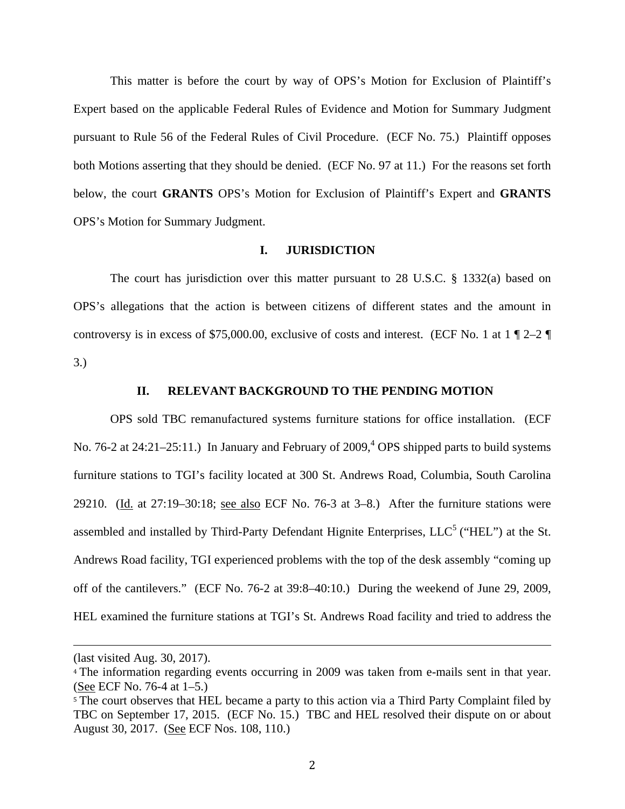This matter is before the court by way of OPS's Motion for Exclusion of Plaintiff's Expert based on the applicable Federal Rules of Evidence and Motion for Summary Judgment pursuant to Rule 56 of the Federal Rules of Civil Procedure. (ECF No. 75.) Plaintiff opposes both Motions asserting that they should be denied. (ECF No. 97 at 11.) For the reasons set forth below, the court **GRANTS** OPS's Motion for Exclusion of Plaintiff's Expert and **GRANTS** OPS's Motion for Summary Judgment.

## **I. JURISDICTION**

 The court has jurisdiction over this matter pursuant to 28 U.S.C. § 1332(a) based on OPS's allegations that the action is between citizens of different states and the amount in controversy is in excess of \$75,000.00, exclusive of costs and interest. (ECF No. 1 at  $1 \nparallel 2-2 \nparallel$ 3.)

#### **II. RELEVANT BACKGROUND TO THE PENDING MOTION**

OPS sold TBC remanufactured systems furniture stations for office installation. (ECF No. 76-2 at  $24:21-25:11$ .) In January and February of  $2009<sup>4</sup>$ , OPS shipped parts to build systems furniture stations to TGI's facility located at 300 St. Andrews Road, Columbia, South Carolina 29210. (Id. at 27:19–30:18; see also ECF No. 76-3 at 3–8.) After the furniture stations were assembled and installed by Third-Party Defendant Hignite Enterprises,  $LLC<sup>5</sup>$  ("HEL") at the St. Andrews Road facility, TGI experienced problems with the top of the desk assembly "coming up off of the cantilevers." (ECF No. 76-2 at 39:8–40:10.) During the weekend of June 29, 2009, HEL examined the furniture stations at TGI's St. Andrews Road facility and tried to address the

 

<sup>(</sup>last visited Aug. 30, 2017). 

<sup>&</sup>lt;sup>4</sup> The information regarding events occurring in 2009 was taken from e-mails sent in that year. (See ECF No. 76-4 at 1–5.) 

<sup>&</sup>lt;sup>5</sup> The court observes that HEL became a party to this action via a Third Party Complaint filed by TBC on September 17, 2015. (ECF No. 15.) TBC and HEL resolved their dispute on or about August 30, 2017. (See ECF Nos. 108, 110.)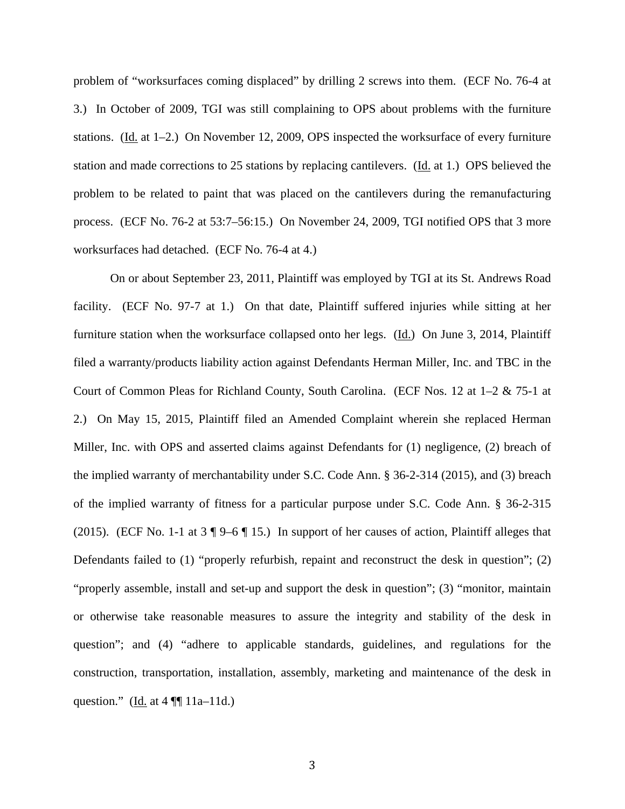problem of "worksurfaces coming displaced" by drilling 2 screws into them. (ECF No. 76-4 at 3.) In October of 2009, TGI was still complaining to OPS about problems with the furniture stations. (Id. at 1–2.) On November 12, 2009, OPS inspected the worksurface of every furniture station and made corrections to 25 stations by replacing cantilevers. (Id. at 1.) OPS believed the problem to be related to paint that was placed on the cantilevers during the remanufacturing process. (ECF No. 76-2 at 53:7–56:15.) On November 24, 2009, TGI notified OPS that 3 more worksurfaces had detached. (ECF No. 76-4 at 4.)

On or about September 23, 2011, Plaintiff was employed by TGI at its St. Andrews Road facility. (ECF No. 97-7 at 1.) On that date, Plaintiff suffered injuries while sitting at her furniture station when the worksurface collapsed onto her legs. (Id.) On June 3, 2014, Plaintiff filed a warranty/products liability action against Defendants Herman Miller, Inc. and TBC in the Court of Common Pleas for Richland County, South Carolina. (ECF Nos. 12 at 1–2 & 75-1 at 2.) On May 15, 2015, Plaintiff filed an Amended Complaint wherein she replaced Herman Miller, Inc. with OPS and asserted claims against Defendants for (1) negligence, (2) breach of the implied warranty of merchantability under S.C. Code Ann. § 36-2-314 (2015), and (3) breach of the implied warranty of fitness for a particular purpose under S.C. Code Ann. § 36-2-315 (2015). (ECF No. 1-1 at 3 ¶ 9–6 ¶ 15.) In support of her causes of action, Plaintiff alleges that Defendants failed to (1) "properly refurbish, repaint and reconstruct the desk in question"; (2) "properly assemble, install and set-up and support the desk in question"; (3) "monitor, maintain or otherwise take reasonable measures to assure the integrity and stability of the desk in question"; and (4) "adhere to applicable standards, guidelines, and regulations for the construction, transportation, installation, assembly, marketing and maintenance of the desk in question." ( $\underline{Id}$ . at 4 ¶ 11a–11d.)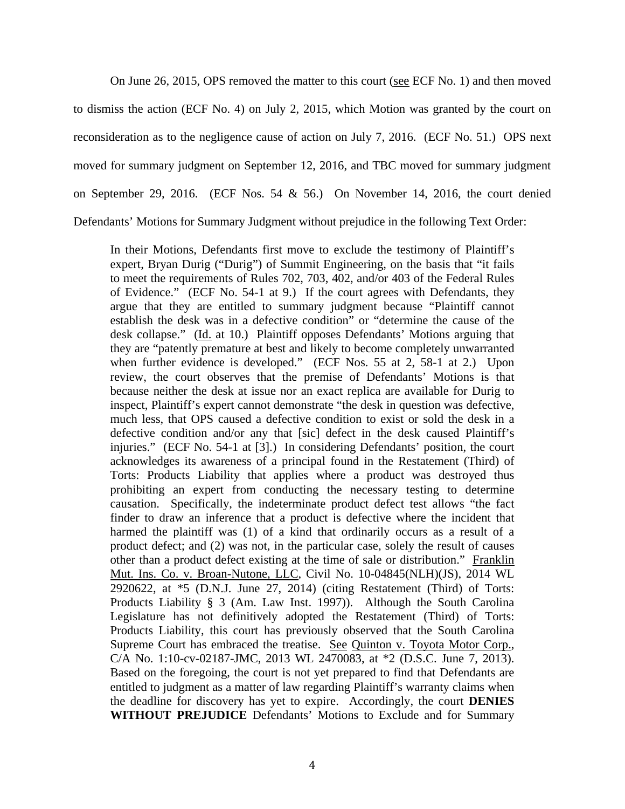On June 26, 2015, OPS removed the matter to this court (see ECF No. 1) and then moved

to dismiss the action (ECF No. 4) on July 2, 2015, which Motion was granted by the court on reconsideration as to the negligence cause of action on July 7, 2016. (ECF No. 51.) OPS next moved for summary judgment on September 12, 2016, and TBC moved for summary judgment on September 29, 2016. (ECF Nos. 54 & 56.) On November 14, 2016, the court denied Defendants' Motions for Summary Judgment without prejudice in the following Text Order:

In their Motions, Defendants first move to exclude the testimony of Plaintiff's expert, Bryan Durig ("Durig") of Summit Engineering, on the basis that "it fails to meet the requirements of Rules 702, 703, 402, and/or 403 of the Federal Rules of Evidence." (ECF No. 54-1 at 9.) If the court agrees with Defendants, they argue that they are entitled to summary judgment because "Plaintiff cannot establish the desk was in a defective condition" or "determine the cause of the desk collapse." (Id. at 10.) Plaintiff opposes Defendants' Motions arguing that they are "patently premature at best and likely to become completely unwarranted when further evidence is developed." (ECF Nos. 55 at 2, 58-1 at 2.) Upon review, the court observes that the premise of Defendants' Motions is that because neither the desk at issue nor an exact replica are available for Durig to inspect, Plaintiff's expert cannot demonstrate "the desk in question was defective, much less, that OPS caused a defective condition to exist or sold the desk in a defective condition and/or any that [sic] defect in the desk caused Plaintiff's injuries." (ECF No. 54-1 at [3].) In considering Defendants' position, the court acknowledges its awareness of a principal found in the Restatement (Third) of Torts: Products Liability that applies where a product was destroyed thus prohibiting an expert from conducting the necessary testing to determine causation. Specifically, the indeterminate product defect test allows "the fact finder to draw an inference that a product is defective where the incident that harmed the plaintiff was (1) of a kind that ordinarily occurs as a result of a product defect; and (2) was not, in the particular case, solely the result of causes other than a product defect existing at the time of sale or distribution." Franklin Mut. Ins. Co. v. Broan-Nutone, LLC, Civil No. 10-04845(NLH)(JS), 2014 WL  $2920622$ , at  $*5$  (D.N.J. June 27, 2014) (citing Restatement (Third) of Torts: Products Liability § 3 (Am. Law Inst. 1997)). Although the South Carolina Legislature has not definitively adopted the Restatement (Third) of Torts: Products Liability, this court has previously observed that the South Carolina Supreme Court has embraced the treatise. See Quinton v. Toyota Motor Corp., C/A No. 1:10-cv-02187-JMC, 2013 WL 2470083, at \*2 (D.S.C. June 7, 2013). Based on the foregoing, the court is not yet prepared to find that Defendants are entitled to judgment as a matter of law regarding Plaintiff's warranty claims when the deadline for discovery has yet to expire. Accordingly, the court **DENIES WITHOUT PREJUDICE** Defendants' Motions to Exclude and for Summary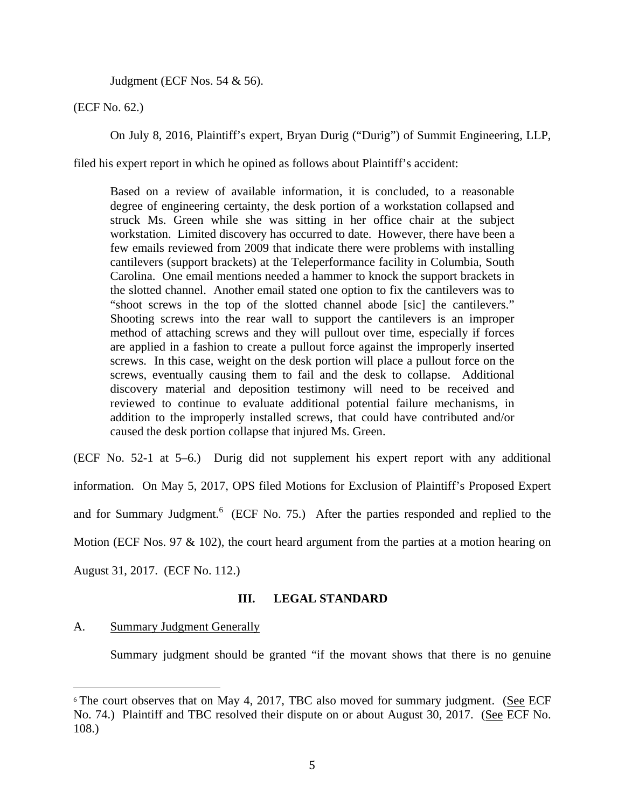Judgment (ECF Nos. 54 & 56).

(ECF No. 62.)

On July 8, 2016, Plaintiff's expert, Bryan Durig ("Durig") of Summit Engineering, LLP,

filed his expert report in which he opined as follows about Plaintiff's accident:

Based on a review of available information, it is concluded, to a reasonable degree of engineering certainty, the desk portion of a workstation collapsed and struck Ms. Green while she was sitting in her office chair at the subject workstation. Limited discovery has occurred to date. However, there have been a few emails reviewed from 2009 that indicate there were problems with installing cantilevers (support brackets) at the Teleperformance facility in Columbia, South Carolina. One email mentions needed a hammer to knock the support brackets in the slotted channel. Another email stated one option to fix the cantilevers was to "shoot screws in the top of the slotted channel abode [sic] the cantilevers." Shooting screws into the rear wall to support the cantilevers is an improper method of attaching screws and they will pullout over time, especially if forces are applied in a fashion to create a pullout force against the improperly inserted screws. In this case, weight on the desk portion will place a pullout force on the screws, eventually causing them to fail and the desk to collapse. Additional discovery material and deposition testimony will need to be received and reviewed to continue to evaluate additional potential failure mechanisms, in addition to the improperly installed screws, that could have contributed and/or caused the desk portion collapse that injured Ms. Green.

(ECF No. 52-1 at 5–6.) Durig did not supplement his expert report with any additional information. On May 5, 2017, OPS filed Motions for Exclusion of Plaintiff's Proposed Expert and for Summary Judgment.<sup>6</sup> (ECF No. 75.) After the parties responded and replied to the Motion (ECF Nos. 97  $\&$  102), the court heard argument from the parties at a motion hearing on August 31, 2017. (ECF No. 112.)

## **III. LEGAL STANDARD**

## A. Summary Judgment Generally

Summary judgment should be granted "if the movant shows that there is no genuine

  $6$  The court observes that on May 4, 2017, TBC also moved for summary judgment. (See ECF No. 74.) Plaintiff and TBC resolved their dispute on or about August 30, 2017. (See ECF No. 108.)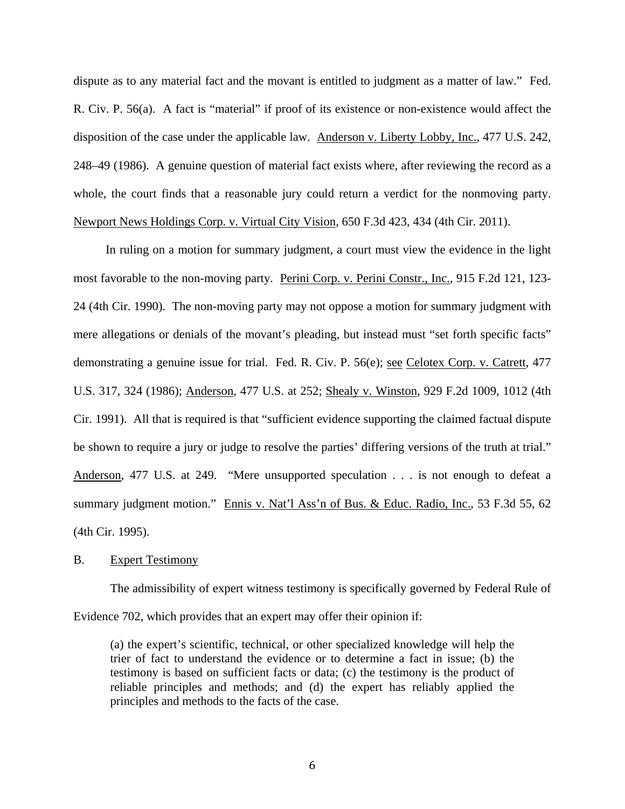dispute as to any material fact and the movant is entitled to judgment as a matter of law." Fed. R. Civ. P. 56(a). A fact is "material" if proof of its existence or non-existence would affect the disposition of the case under the applicable law. Anderson v. Liberty Lobby, Inc., 477 U.S. 242, 248–49 (1986). A genuine question of material fact exists where, after reviewing the record as a whole, the court finds that a reasonable jury could return a verdict for the nonmoving party. Newport News Holdings Corp. v. Virtual City Vision, 650 F.3d 423, 434 (4th Cir. 2011).

 In ruling on a motion for summary judgment, a court must view the evidence in the light most favorable to the non-moving party. Perini Corp. v. Perini Constr., Inc., 915 F.2d 121, 123- 24 (4th Cir. 1990). The non-moving party may not oppose a motion for summary judgment with mere allegations or denials of the movant's pleading, but instead must "set forth specific facts" demonstrating a genuine issue for trial. Fed. R. Civ. P. 56(e); see Celotex Corp. v. Catrett, 477 U.S. 317, 324 (1986); Anderson, 477 U.S. at 252; Shealy v. Winston, 929 F.2d 1009, 1012 (4th Cir. 1991). All that is required is that "sufficient evidence supporting the claimed factual dispute be shown to require a jury or judge to resolve the parties' differing versions of the truth at trial." Anderson, 477 U.S. at 249. "Mere unsupported speculation . . . is not enough to defeat a summary judgment motion." Ennis v. Nat'l Ass'n of Bus. & Educ. Radio, Inc., 53 F.3d 55, 62 (4th Cir. 1995).

## B. Expert Testimony

The admissibility of expert witness testimony is specifically governed by Federal Rule of Evidence 702, which provides that an expert may offer their opinion if:

(a) the expert's scientific, technical, or other specialized knowledge will help the trier of fact to understand the evidence or to determine a fact in issue; (b) the testimony is based on sufficient facts or data; (c) the testimony is the product of reliable principles and methods; and (d) the expert has reliably applied the principles and methods to the facts of the case.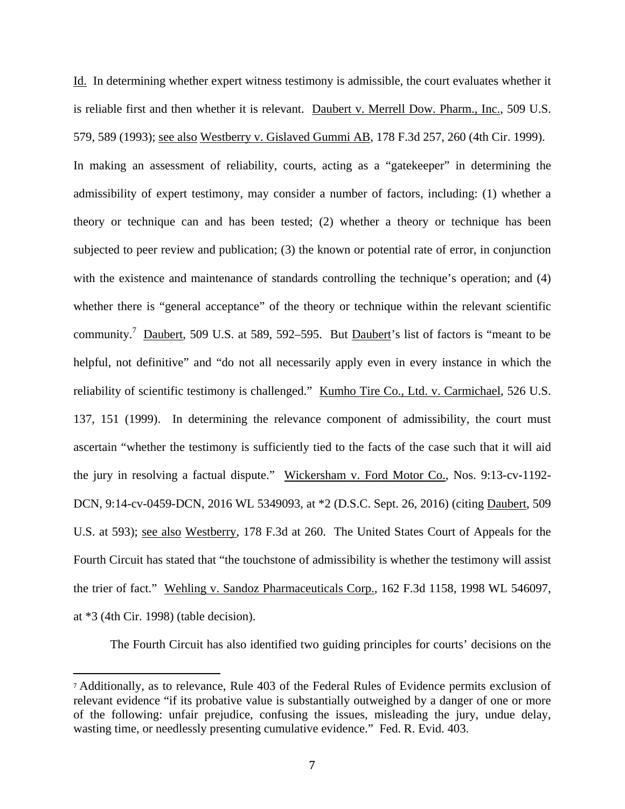Id. In determining whether expert witness testimony is admissible, the court evaluates whether it is reliable first and then whether it is relevant. Daubert v. Merrell Dow. Pharm., Inc., 509 U.S. 579, 589 (1993); see also Westberry v. Gislaved Gummi AB, 178 F.3d 257, 260 (4th Cir. 1999). In making an assessment of reliability, courts, acting as a "gatekeeper" in determining the admissibility of expert testimony, may consider a number of factors, including: (1) whether a theory or technique can and has been tested; (2) whether a theory or technique has been subjected to peer review and publication; (3) the known or potential rate of error, in conjunction with the existence and maintenance of standards controlling the technique's operation; and (4) whether there is "general acceptance" of the theory or technique within the relevant scientific

community.<sup>7</sup> Daubert, 509 U.S. at 589, 592–595. But Daubert's list of factors is "meant to be helpful, not definitive" and "do not all necessarily apply even in every instance in which the reliability of scientific testimony is challenged." Kumho Tire Co., Ltd. v. Carmichael, 526 U.S. 137, 151 (1999). In determining the relevance component of admissibility, the court must ascertain "whether the testimony is sufficiently tied to the facts of the case such that it will aid the jury in resolving a factual dispute." Wickersham v. Ford Motor Co., Nos. 9:13-cv-1192- DCN, 9:14-cv-0459-DCN, 2016 WL 5349093, at \*2 (D.S.C. Sept. 26, 2016) (citing Daubert, 509 U.S. at 593); see also Westberry, 178 F.3d at 260. The United States Court of Appeals for the Fourth Circuit has stated that "the touchstone of admissibility is whether the testimony will assist the trier of fact." Wehling v. Sandoz Pharmaceuticals Corp., 162 F.3d 1158, 1998 WL 546097, at \*3 (4th Cir. 1998) (table decision).

The Fourth Circuit has also identified two guiding principles for courts' decisions on the

 <sup>7</sup> Additionally, as to relevance, Rule 403 of the Federal Rules of Evidence permits exclusion of relevant evidence "if its probative value is substantially outweighed by a danger of one or more of the following: unfair prejudice, confusing the issues, misleading the jury, undue delay, wasting time, or needlessly presenting cumulative evidence." Fed. R. Evid. 403.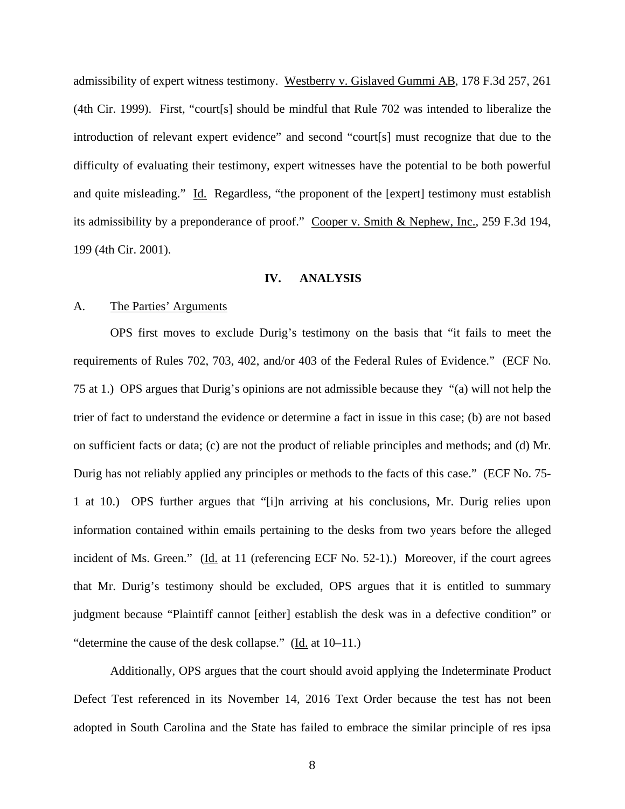admissibility of expert witness testimony. Westberry v. Gislaved Gummi AB, 178 F.3d 257, 261 (4th Cir. 1999). First, "court[s] should be mindful that Rule 702 was intended to liberalize the introduction of relevant expert evidence" and second "court[s] must recognize that due to the difficulty of evaluating their testimony, expert witnesses have the potential to be both powerful and quite misleading." Id. Regardless, "the proponent of the [expert] testimony must establish its admissibility by a preponderance of proof." Cooper v. Smith & Nephew, Inc., 259 F.3d 194, 199 (4th Cir. 2001).

### **IV. ANALYSIS**

#### A. The Parties' Arguments

OPS first moves to exclude Durig's testimony on the basis that "it fails to meet the requirements of Rules 702, 703, 402, and/or 403 of the Federal Rules of Evidence." (ECF No. 75 at 1.) OPS argues that Durig's opinions are not admissible because they "(a) will not help the trier of fact to understand the evidence or determine a fact in issue in this case; (b) are not based on sufficient facts or data; (c) are not the product of reliable principles and methods; and (d) Mr. Durig has not reliably applied any principles or methods to the facts of this case." (ECF No. 75- 1 at 10.) OPS further argues that "[i]n arriving at his conclusions, Mr. Durig relies upon information contained within emails pertaining to the desks from two years before the alleged incident of Ms. Green." (Id. at 11 (referencing ECF No. 52-1).) Moreover, if the court agrees that Mr. Durig's testimony should be excluded, OPS argues that it is entitled to summary judgment because "Plaintiff cannot [either] establish the desk was in a defective condition" or "determine the cause of the desk collapse." (Id. at 10–11.)

Additionally, OPS argues that the court should avoid applying the Indeterminate Product Defect Test referenced in its November 14, 2016 Text Order because the test has not been adopted in South Carolina and the State has failed to embrace the similar principle of res ipsa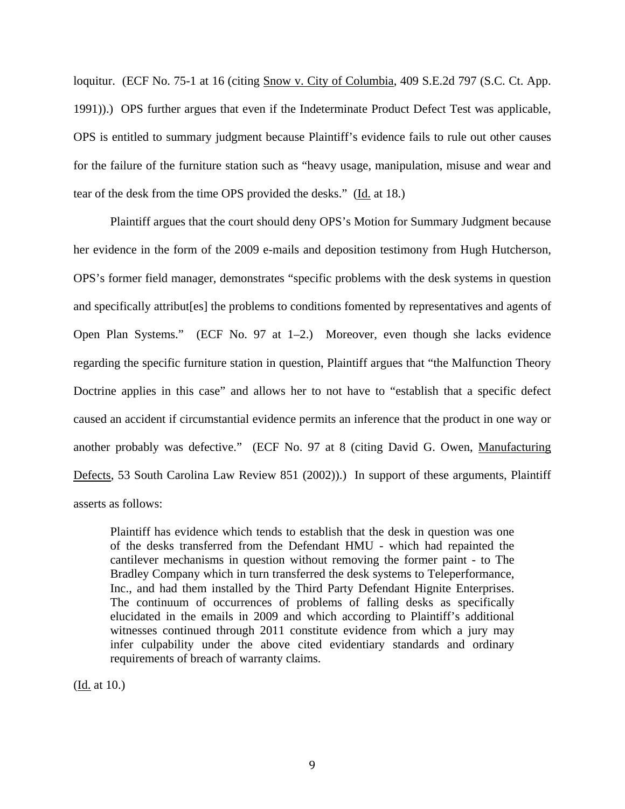loquitur. (ECF No. 75-1 at 16 (citing Snow v. City of Columbia, 409 S.E.2d 797 (S.C. Ct. App. 1991)).) OPS further argues that even if the Indeterminate Product Defect Test was applicable, OPS is entitled to summary judgment because Plaintiff's evidence fails to rule out other causes for the failure of the furniture station such as "heavy usage, manipulation, misuse and wear and tear of the desk from the time OPS provided the desks." (Id. at 18.)

Plaintiff argues that the court should deny OPS's Motion for Summary Judgment because her evidence in the form of the 2009 e-mails and deposition testimony from Hugh Hutcherson, OPS's former field manager, demonstrates "specific problems with the desk systems in question and specifically attribut[es] the problems to conditions fomented by representatives and agents of Open Plan Systems." (ECF No. 97 at 1–2.) Moreover, even though she lacks evidence regarding the specific furniture station in question, Plaintiff argues that "the Malfunction Theory Doctrine applies in this case" and allows her to not have to "establish that a specific defect caused an accident if circumstantial evidence permits an inference that the product in one way or another probably was defective." (ECF No. 97 at 8 (citing David G. Owen, Manufacturing Defects, 53 South Carolina Law Review 851 (2002)).) In support of these arguments, Plaintiff asserts as follows:

Plaintiff has evidence which tends to establish that the desk in question was one of the desks transferred from the Defendant HMU - which had repainted the cantilever mechanisms in question without removing the former paint - to The Bradley Company which in turn transferred the desk systems to Teleperformance, Inc., and had them installed by the Third Party Defendant Hignite Enterprises. The continuum of occurrences of problems of falling desks as specifically elucidated in the emails in 2009 and which according to Plaintiff's additional witnesses continued through 2011 constitute evidence from which a jury may infer culpability under the above cited evidentiary standards and ordinary requirements of breach of warranty claims.

(Id. at 10.)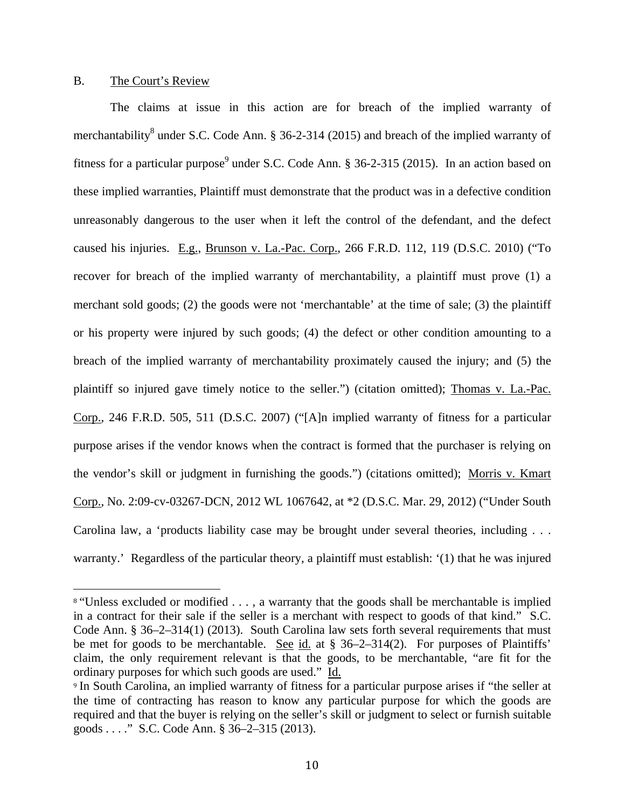#### B. The Court's Review

The claims at issue in this action are for breach of the implied warranty of merchantability<sup>8</sup> under S.C. Code Ann. § 36-2-314 (2015) and breach of the implied warranty of fitness for a particular purpose<sup>9</sup> under S.C. Code Ann. § 36-2-315 (2015). In an action based on these implied warranties, Plaintiff must demonstrate that the product was in a defective condition unreasonably dangerous to the user when it left the control of the defendant, and the defect caused his injuries. E.g., Brunson v. La.-Pac. Corp., 266 F.R.D. 112, 119 (D.S.C. 2010) ("To recover for breach of the implied warranty of merchantability, a plaintiff must prove (1) a merchant sold goods; (2) the goods were not 'merchantable' at the time of sale; (3) the plaintiff or his property were injured by such goods; (4) the defect or other condition amounting to a breach of the implied warranty of merchantability proximately caused the injury; and (5) the plaintiff so injured gave timely notice to the seller.") (citation omitted); Thomas v. La.-Pac. Corp., 246 F.R.D. 505, 511 (D.S.C. 2007) ("[A]n implied warranty of fitness for a particular purpose arises if the vendor knows when the contract is formed that the purchaser is relying on the vendor's skill or judgment in furnishing the goods.") (citations omitted); Morris v. Kmart Corp., No. 2:09-cv-03267-DCN, 2012 WL 1067642, at \*2 (D.S.C. Mar. 29, 2012) ("Under South Carolina law, a 'products liability case may be brought under several theories, including . . . warranty.' Regardless of the particular theory, a plaintiff must establish: '(1) that he was injured

 <sup>8</sup> "Unless excluded or modified . . . , a warranty that the goods shall be merchantable is implied in a contract for their sale if the seller is a merchant with respect to goods of that kind." S.C. Code Ann. § 36–2–314(1) (2013). South Carolina law sets forth several requirements that must be met for goods to be merchantable. See id. at § 36–2–314(2). For purposes of Plaintiffs' claim, the only requirement relevant is that the goods, to be merchantable, "are fit for the ordinary purposes for which such goods are used." Id.

<sup>&</sup>lt;sup>9</sup> In South Carolina, an implied warranty of fitness for a particular purpose arises if "the seller at the time of contracting has reason to know any particular purpose for which the goods are required and that the buyer is relying on the seller's skill or judgment to select or furnish suitable goods . . . ." S.C. Code Ann. § 36–2–315 (2013).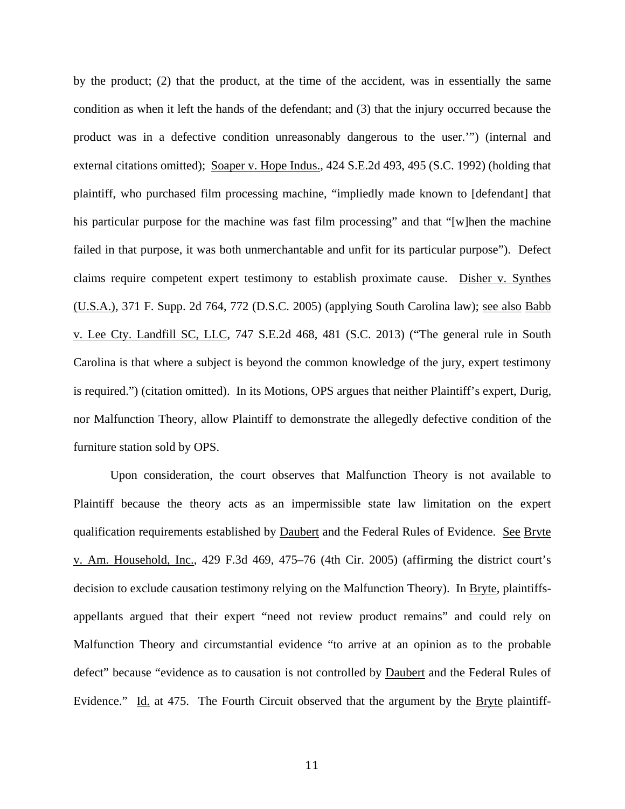by the product; (2) that the product, at the time of the accident, was in essentially the same condition as when it left the hands of the defendant; and (3) that the injury occurred because the product was in a defective condition unreasonably dangerous to the user.'") (internal and external citations omitted); Soaper v. Hope Indus., 424 S.E.2d 493, 495 (S.C. 1992) (holding that plaintiff, who purchased film processing machine, "impliedly made known to [defendant] that his particular purpose for the machine was fast film processing" and that "[w]hen the machine failed in that purpose, it was both unmerchantable and unfit for its particular purpose"). Defect claims require competent expert testimony to establish proximate cause. Disher v. Synthes (U.S.A.), 371 F. Supp. 2d 764, 772 (D.S.C. 2005) (applying South Carolina law); see also Babb v. Lee Cty. Landfill SC, LLC, 747 S.E.2d 468, 481 (S.C. 2013) ("The general rule in South Carolina is that where a subject is beyond the common knowledge of the jury, expert testimony is required.") (citation omitted). In its Motions, OPS argues that neither Plaintiff's expert, Durig, nor Malfunction Theory, allow Plaintiff to demonstrate the allegedly defective condition of the furniture station sold by OPS.

Upon consideration, the court observes that Malfunction Theory is not available to Plaintiff because the theory acts as an impermissible state law limitation on the expert qualification requirements established by Daubert and the Federal Rules of Evidence. See Bryte v. Am. Household, Inc., 429 F.3d 469, 475–76 (4th Cir. 2005) (affirming the district court's decision to exclude causation testimony relying on the Malfunction Theory). In Bryte, plaintiffsappellants argued that their expert "need not review product remains" and could rely on Malfunction Theory and circumstantial evidence "to arrive at an opinion as to the probable defect" because "evidence as to causation is not controlled by Daubert and the Federal Rules of Evidence." Id. at 475. The Fourth Circuit observed that the argument by the Bryte plaintiff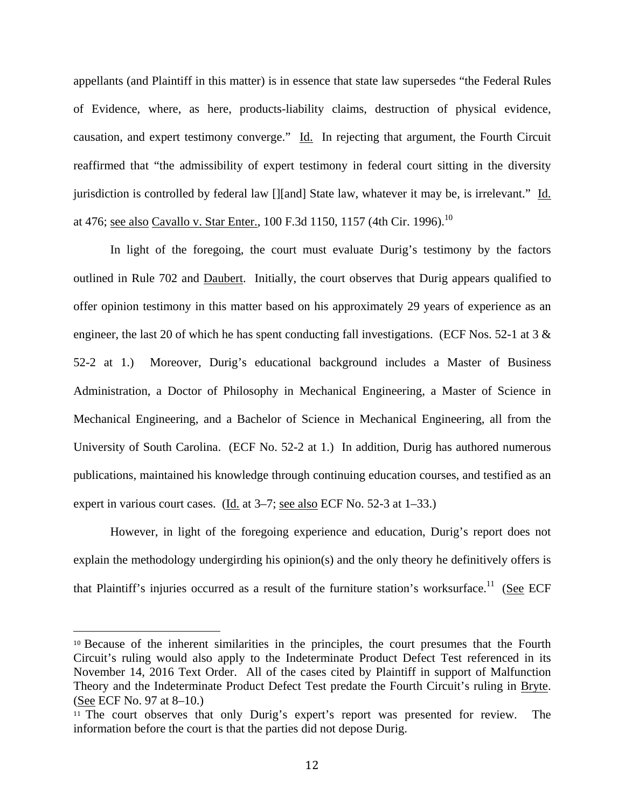appellants (and Plaintiff in this matter) is in essence that state law supersedes "the Federal Rules of Evidence, where, as here, products-liability claims, destruction of physical evidence, causation, and expert testimony converge." Id. In rejecting that argument, the Fourth Circuit reaffirmed that "the admissibility of expert testimony in federal court sitting in the diversity jurisdiction is controlled by federal law [][and] State law, whatever it may be, is irrelevant." Id. at 476; <u>see also Cavallo v. Star Enter.</u>, 100 F.3d 1150, 1157 (4th Cir. 1996).<sup>10</sup>

In light of the foregoing, the court must evaluate Durig's testimony by the factors outlined in Rule 702 and Daubert. Initially, the court observes that Durig appears qualified to offer opinion testimony in this matter based on his approximately 29 years of experience as an engineer, the last 20 of which he has spent conducting fall investigations. (ECF Nos. 52-1 at 3 & 52-2 at 1.) Moreover, Durig's educational background includes a Master of Business Administration, a Doctor of Philosophy in Mechanical Engineering, a Master of Science in Mechanical Engineering, and a Bachelor of Science in Mechanical Engineering, all from the University of South Carolina. (ECF No. 52-2 at 1.) In addition, Durig has authored numerous publications, maintained his knowledge through continuing education courses, and testified as an expert in various court cases. (Id. at 3–7; see also ECF No. 52-3 at 1–33.)

However, in light of the foregoing experience and education, Durig's report does not explain the methodology undergirding his opinion(s) and the only theory he definitively offers is that Plaintiff's injuries occurred as a result of the furniture station's worksurface.<sup>11</sup> (See ECF

 <sup>10</sup> Because of the inherent similarities in the principles, the court presumes that the Fourth Circuit's ruling would also apply to the Indeterminate Product Defect Test referenced in its November 14, 2016 Text Order. All of the cases cited by Plaintiff in support of Malfunction Theory and the Indeterminate Product Defect Test predate the Fourth Circuit's ruling in Bryte. (See ECF No. 97 at 8–10.)

<sup>&</sup>lt;sup>11</sup> The court observes that only Durig's expert's report was presented for review. The information before the court is that the parties did not depose Durig.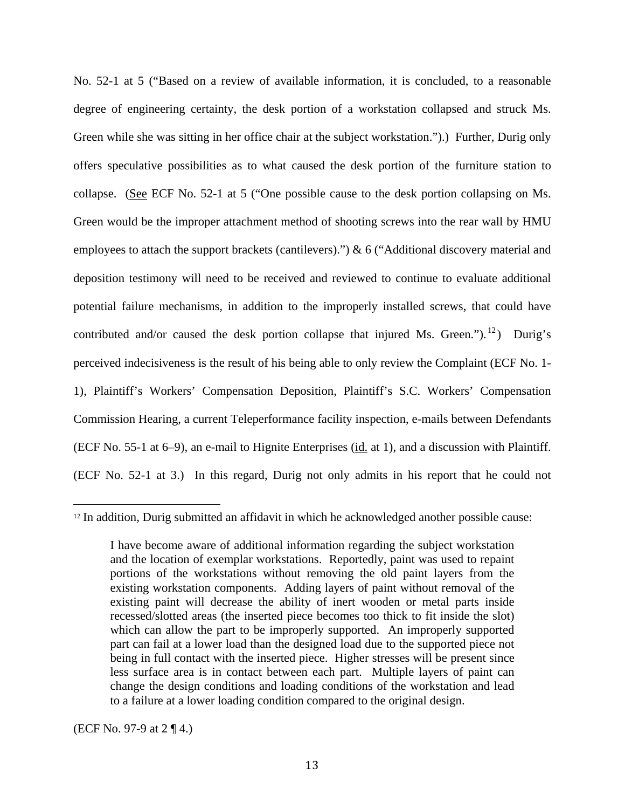No. 52-1 at 5 ("Based on a review of available information, it is concluded, to a reasonable degree of engineering certainty, the desk portion of a workstation collapsed and struck Ms. Green while she was sitting in her office chair at the subject workstation.").) Further, Durig only offers speculative possibilities as to what caused the desk portion of the furniture station to collapse. (See ECF No. 52-1 at 5 ("One possible cause to the desk portion collapsing on Ms. Green would be the improper attachment method of shooting screws into the rear wall by HMU employees to attach the support brackets (cantilevers).") & 6 ("Additional discovery material and deposition testimony will need to be received and reviewed to continue to evaluate additional potential failure mechanisms, in addition to the improperly installed screws, that could have contributed and/or caused the desk portion collapse that injured Ms. Green." $b^{12}$ ) Durig's perceived indecisiveness is the result of his being able to only review the Complaint (ECF No. 1- 1), Plaintiff's Workers' Compensation Deposition, Plaintiff's S.C. Workers' Compensation Commission Hearing, a current Teleperformance facility inspection, e-mails between Defendants (ECF No. 55-1 at 6–9), an e-mail to Hignite Enterprises (id. at 1), and a discussion with Plaintiff. (ECF No. 52-1 at 3.) In this regard, Durig not only admits in his report that he could not

(ECF No. 97-9 at 2 ¶ 4.)

 <sup>12</sup> In addition, Durig submitted an affidavit in which he acknowledged another possible cause:

I have become aware of additional information regarding the subject workstation and the location of exemplar workstations. Reportedly, paint was used to repaint portions of the workstations without removing the old paint layers from the existing workstation components. Adding layers of paint without removal of the existing paint will decrease the ability of inert wooden or metal parts inside recessed/slotted areas (the inserted piece becomes too thick to fit inside the slot) which can allow the part to be improperly supported. An improperly supported part can fail at a lower load than the designed load due to the supported piece not being in full contact with the inserted piece. Higher stresses will be present since less surface area is in contact between each part. Multiple layers of paint can change the design conditions and loading conditions of the workstation and lead to a failure at a lower loading condition compared to the original design.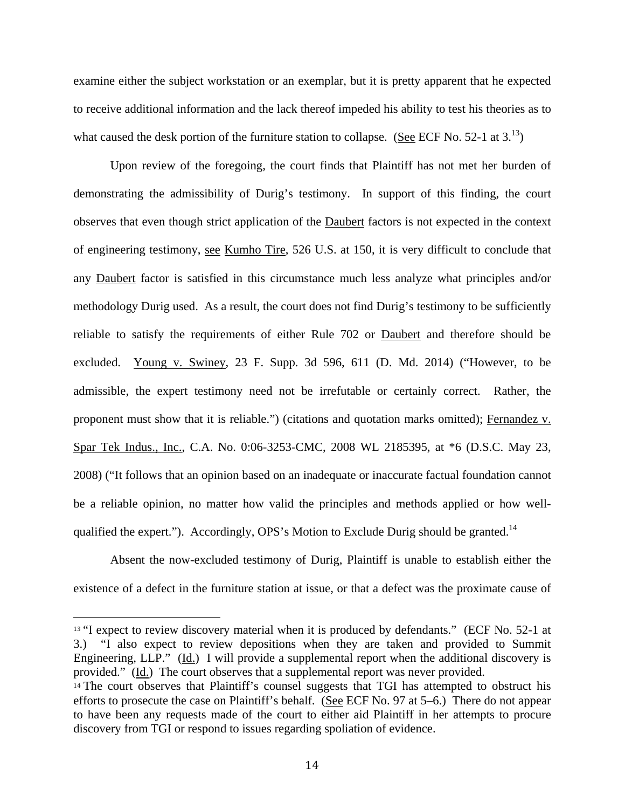examine either the subject workstation or an exemplar, but it is pretty apparent that he expected to receive additional information and the lack thereof impeded his ability to test his theories as to what caused the desk portion of the furniture station to collapse. (See ECF No. 52-1 at  $3^{13}$ )

Upon review of the foregoing, the court finds that Plaintiff has not met her burden of demonstrating the admissibility of Durig's testimony. In support of this finding, the court observes that even though strict application of the Daubert factors is not expected in the context of engineering testimony, see Kumho Tire, 526 U.S. at 150, it is very difficult to conclude that any Daubert factor is satisfied in this circumstance much less analyze what principles and/or methodology Durig used. As a result, the court does not find Durig's testimony to be sufficiently reliable to satisfy the requirements of either Rule 702 or Daubert and therefore should be excluded. Young v. Swiney, 23 F. Supp. 3d 596, 611 (D. Md. 2014) ("However, to be admissible, the expert testimony need not be irrefutable or certainly correct. Rather, the proponent must show that it is reliable.") (citations and quotation marks omitted); Fernandez v. Spar Tek Indus., Inc., C.A. No. 0:06-3253-CMC, 2008 WL 2185395, at \*6 (D.S.C. May 23, 2008) ("It follows that an opinion based on an inadequate or inaccurate factual foundation cannot be a reliable opinion, no matter how valid the principles and methods applied or how wellqualified the expert."). Accordingly, OPS's Motion to Exclude Durig should be granted.<sup>14</sup>

Absent the now-excluded testimony of Durig, Plaintiff is unable to establish either the existence of a defect in the furniture station at issue, or that a defect was the proximate cause of

  $13$  "I expect to review discovery material when it is produced by defendants." (ECF No. 52-1 at 3.) "I also expect to review depositions when they are taken and provided to Summit Engineering, LLP." (Id.) I will provide a supplemental report when the additional discovery is provided." (Id.) The court observes that a supplemental report was never provided.

<sup>&</sup>lt;sup>14</sup> The court observes that Plaintiff's counsel suggests that TGI has attempted to obstruct his efforts to prosecute the case on Plaintiff's behalf. (See ECF No. 97 at 5–6.) There do not appear to have been any requests made of the court to either aid Plaintiff in her attempts to procure discovery from TGI or respond to issues regarding spoliation of evidence.